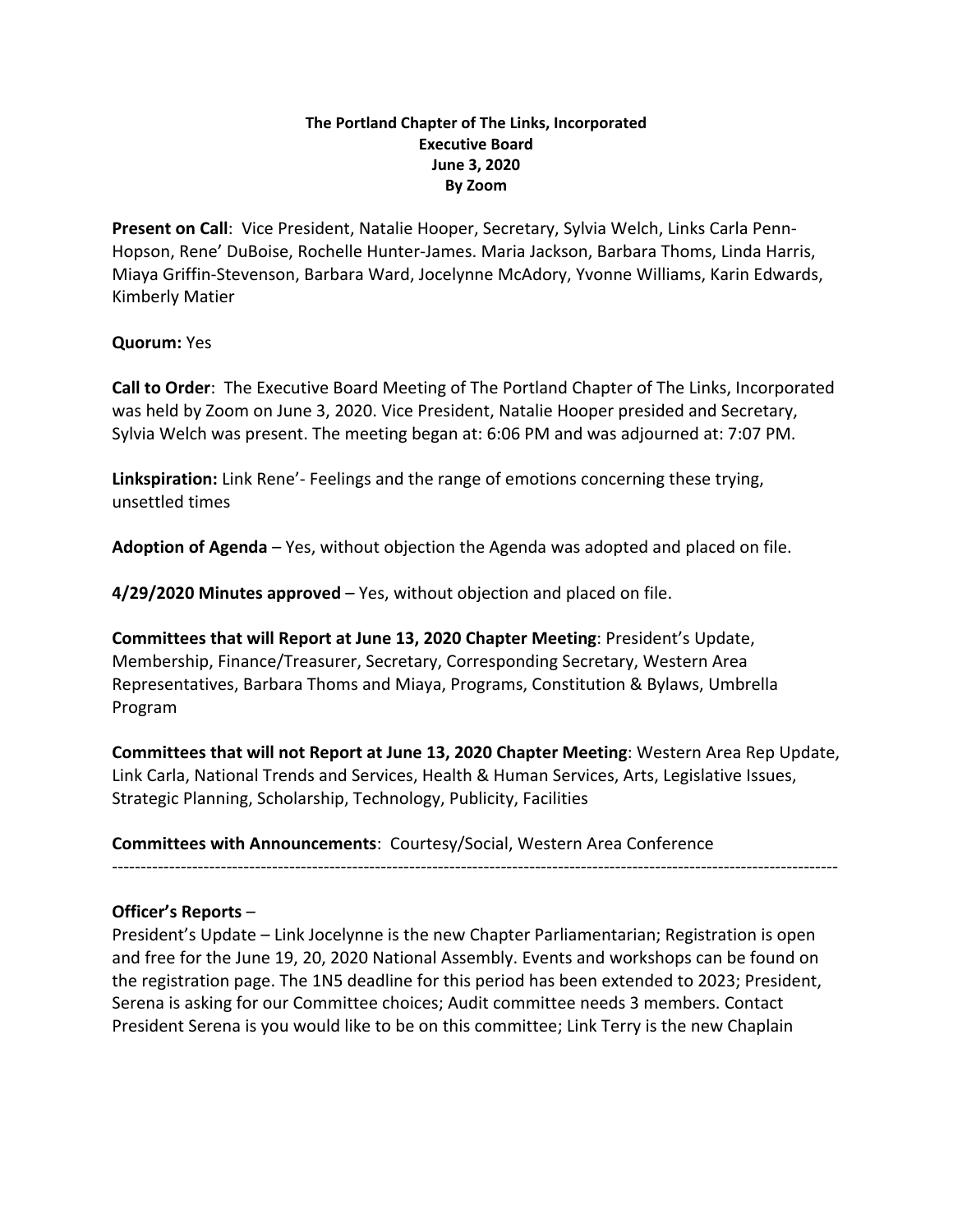## **The Portland Chapter of The Links, Incorporated Executive Board June 3, 2020 By Zoom**

**Present on Call**: Vice President, Natalie Hooper, Secretary, Sylvia Welch, Links Carla Penn-Hopson, Rene' DuBoise, Rochelle Hunter-James. Maria Jackson, Barbara Thoms, Linda Harris, Miaya Griffin-Stevenson, Barbara Ward, Jocelynne McAdory, Yvonne Williams, Karin Edwards, Kimberly Matier

## **Quorum:** Yes

**Call to Order**: The Executive Board Meeting of The Portland Chapter of The Links, Incorporated was held by Zoom on June 3, 2020. Vice President, Natalie Hooper presided and Secretary, Sylvia Welch was present. The meeting began at: 6:06 PM and was adjourned at: 7:07 PM.

**Linkspiration:** Link Rene'- Feelings and the range of emotions concerning these trying, unsettled times

**Adoption of Agenda** – Yes, without objection the Agenda was adopted and placed on file.

**4/29/2020 Minutes approved** – Yes, without objection and placed on file.

**Committees that will Report at June 13, 2020 Chapter Meeting**: President's Update, Membership, Finance/Treasurer, Secretary, Corresponding Secretary, Western Area Representatives, Barbara Thoms and Miaya, Programs, Constitution & Bylaws, Umbrella Program

**Committees that will not Report at June 13, 2020 Chapter Meeting**: Western Area Rep Update, Link Carla, National Trends and Services, Health & Human Services, Arts, Legislative Issues, Strategic Planning, Scholarship, Technology, Publicity, Facilities

-------------------------------------------------------------------------------------------------------------------------------

**Committees with Announcements**: Courtesy/Social, Western Area Conference

**Officer's Reports –**<br>President's Update – Link Jocelynne is the new Chapter Parliamentarian; Registration is open and free for the June 19, 20, 2020 National Assembly. Events and workshops can be found on the registration page. The 1N5 deadline for this period has been extended to 2023; President, Serena is asking for our Committee choices; Audit committee needs 3 members. Contact President Serena is you would like to be on this committee; Link Terry is the new Chaplain